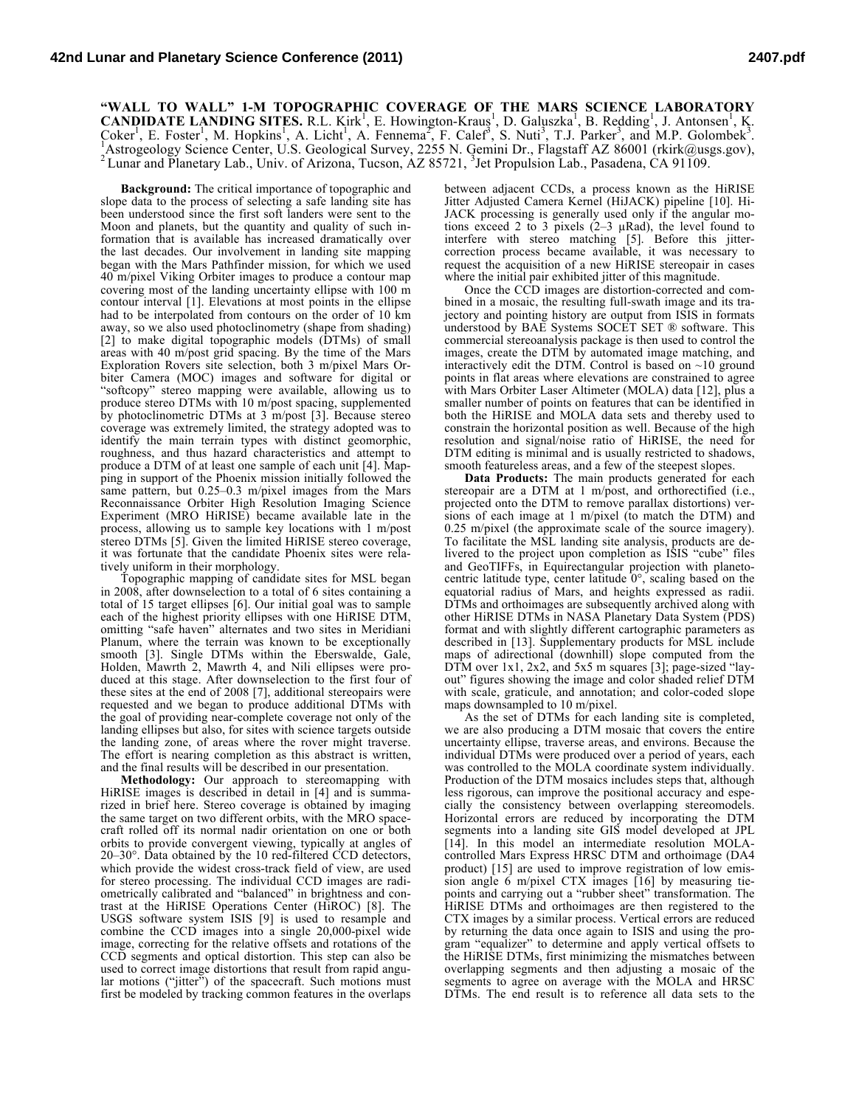**"WALL TO WALL" 1-M TOPOGRAPHIC COVERAGE OF THE MARS SCIENCE LABORATORY CANDIDATE LANDING SITES.** R.L. Kirk<sup>1</sup>, E. Howington-Kraus<sup>1</sup>, D. Galuszka<sup>1</sup>, B. Redding<sup>1</sup>, J. Antonsen<sup>1</sup>, K. Coker<sup>1</sup>, E. Foster<sup>1</sup>, M. Hopkins<sup>1</sup>, A. Licht<sup>1</sup>, A. Fennema<sup>2</sup>, F. Calef<sup>3</sup>, S. Nuti<sup>3</sup>, T.J. Parker<sup>3</sup>, <sup>1</sup>Astrogeology Science Center, U.S. Geological Survey, 2255 N. Gemini Dr., Flagstaff AZ 86001 (rkirk@usgs.gov), <sup>2</sup> Lunar and Planetary Lab., Univ. of Arizona, Tucson, AZ 85721, <sup>3</sup>Jet Propulsion Lab., Pasadena, CA 91109.

**Background:** The critical importance of topographic and slope data to the process of selecting a safe landing site has been understood since the first soft landers were sent to the Moon and planets, but the quantity and quality of such information that is available has increased dramatically over the last decades. Our involvement in landing site mapping began with the Mars Pathfinder mission, for which we used 40 m/pixel Viking Orbiter images to produce a contour map covering most of the landing uncertainty ellipse with 100 m contour interval [1]. Elevations at most points in the ellipse had to be interpolated from contours on the order of 10 km away, so we also used photoclinometry (shape from shading) [2] to make digital topographic models (DTMs) of small areas with 40 m/post grid spacing. By the time of the Mars Exploration Rovers site selection, both 3 m/pixel Mars Orbiter Camera (MOC) images and software for digital or "softcopy" stereo mapping were available, allowing us to produce stereo DTMs with 10 m/post spacing, supplemented by photoclinometric DTMs at 3 m/post [3]. Because stereo coverage was extremely limited, the strategy adopted was to identify the main terrain types with distinct geomorphic, roughness, and thus hazard characteristics and attempt to produce a DTM of at least one sample of each unit [4]. Mapping in support of the Phoenix mission initially followed the same pattern, but 0.25–0.3 m/pixel images from the Mars Reconnaissance Orbiter High Resolution Imaging Science Experiment (MRO HiRISE) became available late in the process, allowing us to sample key locations with 1 m/post stereo DTMs [5]. Given the limited HiRISE stereo coverage, it was fortunate that the candidate Phoenix sites were relatively uniform in their morphology.

Topographic mapping of candidate sites for MSL began in 2008, after downselection to a total of 6 sites containing a total of 15 target ellipses [6]. Our initial goal was to sample each of the highest priority ellipses with one HiRISE DTM, omitting "safe haven" alternates and two sites in Meridiani Planum, where the terrain was known to be exceptionally smooth [3]. Single DTMs within the Eberswalde, Gale, Holden, Mawrth 2, Mawrth 4, and Nili ellipses were produced at this stage. After downselection to the first four of these sites at the end of 2008 [7], additional stereopairs were requested and we began to produce additional DTMs with the goal of providing near-complete coverage not only of the landing ellipses but also, for sites with science targets outside the landing zone, of areas where the rover might traverse. The effort is nearing completion as this abstract is written, and the final results will be described in our presentation.

**Methodology:** Our approach to stereomapping with HiRISE images is described in detail in [4] and is summarized in brief here. Stereo coverage is obtained by imaging the same target on two different orbits, with the MRO spacecraft rolled off its normal nadir orientation on one or both orbits to provide convergent viewing, typically at angles of 20–30°. Data obtained by the 10 red-filtered CCD detectors, which provide the widest cross-track field of view, are used for stereo processing. The individual CCD images are radiometrically calibrated and "balanced" in brightness and contrast at the HiRISE Operations Center (HiROC) [8]. The USGS software system ISIS [9] is used to resample and combine the CCD images into a single 20,000-pixel wide image, correcting for the relative offsets and rotations of the CCD segments and optical distortion. This step can also be used to correct image distortions that result from rapid angular motions ("jitter") of the spacecraft. Such motions must first be modeled by tracking common features in the overlaps between adjacent CCDs, a process known as the HiRISE Jitter Adjusted Camera Kernel (HiJACK) pipeline [10]. Hi-JACK processing is generally used only if the angular motions exceed 2 to 3 pixels  $(2-3 \mu \text{Rad})$ , the level found to interfere with stereo matching [5]. Before this jittercorrection process became available, it was necessary to request the acquisition of a new HiRISE stereopair in cases where the initial pair exhibited jitter of this magnitude.

Once the CCD images are distortion-corrected and combined in a mosaic, the resulting full-swath image and its trajectory and pointing history are output from ISIS in formats understood by BAE Systems SOCET SET ® software. This commercial stereoanalysis package is then used to control the images, create the DTM by automated image matching, and interactively edit the DTM. Control is based on  $\sim$ 10 ground points in flat areas where elevations are constrained to agree with Mars Orbiter Laser Altimeter (MOLA) data [12], plus a smaller number of points on features that can be identified in both the HiRISE and MOLA data sets and thereby used to constrain the horizontal position as well. Because of the high resolution and signal/noise ratio of HiRISE, the need for DTM editing is minimal and is usually restricted to shadows, smooth featureless areas, and a few of the steepest slopes.

Data Products: The main products generated for each stereopair are a DTM at 1 m/post, and orthorectified (i.e., projected onto the DTM to remove parallax distortions) versions of each image at 1 m/pixel (to match the DTM) and 0.25 m/pixel (the approximate scale of the source imagery). To facilitate the MSL landing site analysis, products are delivered to the project upon completion as ISIS "cube" files and GeoTIFFs, in Equirectangular projection with planetocentric latitude type, center latitude  $0^\circ$ , scaling based on the equatorial radius of Mars, and heights expressed as radii. DTMs and orthoimages are subsequently archived along with other HiRISE DTMs in NASA Planetary Data System (PDS) format and with slightly different cartographic parameters as described in [13]. Supplementary products for MSL include maps of adirectional (downhill) slope computed from the DTM over 1x1, 2x2, and 5x5 m squares [3]; page-sized "layout" figures showing the image and color shaded relief DTM with scale, graticule, and annotation; and color-coded slope maps downsampled to 10 m/pixel.

As the set of DTMs for each landing site is completed, we are also producing a DTM mosaic that covers the entire uncertainty ellipse, traverse areas, and environs. Because the individual DTMs were produced over a period of years, each was controlled to the MOLA coordinate system individually. Production of the DTM mosaics includes steps that, although less rigorous, can improve the positional accuracy and especially the consistency between overlapping stereomodels. Horizontal errors are reduced by incorporating the DTM segments into a landing site GIS model developed at JPL [14]. In this model an intermediate resolution MOLAcontrolled Mars Express HRSC DTM and orthoimage (DA4 product) [15] are used to improve registration of low emission angle 6 m/pixel CTX images [16] by measuring tiepoints and carrying out a "rubber sheet" transformation. The HiRISE DTMs and orthoimages are then registered to the CTX images by a similar process. Vertical errors are reduced by returning the data once again to ISIS and using the program "equalizer" to determine and apply vertical offsets to the HiRISE DTMs, first minimizing the mismatches between overlapping segments and then adjusting a mosaic of the segments to agree on average with the MOLA and HRSC DTMs. The end result is to reference all data sets to the